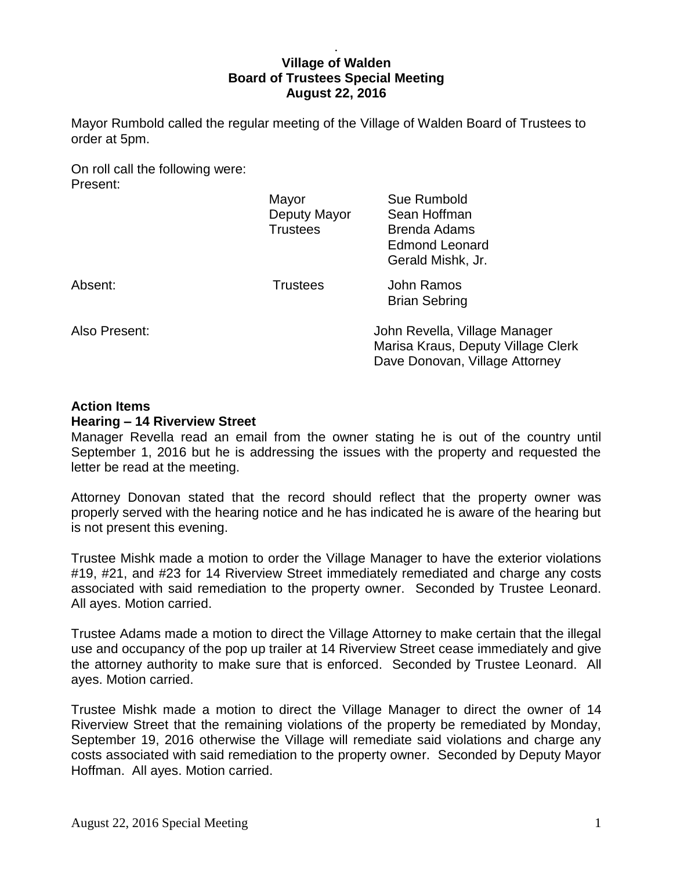## . **Village of Walden Board of Trustees Special Meeting August 22, 2016**

Mayor Rumbold called the regular meeting of the Village of Walden Board of Trustees to order at 5pm.

On roll call the following were: Present:

|               | Mayor           | Sue Rumbold                        |
|---------------|-----------------|------------------------------------|
|               | Deputy Mayor    | Sean Hoffman                       |
|               | <b>Trustees</b> | <b>Brenda Adams</b>                |
|               |                 | <b>Edmond Leonard</b>              |
|               |                 | Gerald Mishk, Jr.                  |
| Absent:       | <b>Trustees</b> | <b>John Ramos</b>                  |
|               |                 | <b>Brian Sebring</b>               |
| Also Present: |                 | John Revella, Village Manager      |
|               |                 | Marisa Kraus, Deputy Village Clerk |

## **Action Items**

### **Hearing – 14 Riverview Street**

Manager Revella read an email from the owner stating he is out of the country until September 1, 2016 but he is addressing the issues with the property and requested the letter be read at the meeting.

Dave Donovan, Village Attorney

Attorney Donovan stated that the record should reflect that the property owner was properly served with the hearing notice and he has indicated he is aware of the hearing but is not present this evening.

Trustee Mishk made a motion to order the Village Manager to have the exterior violations #19, #21, and #23 for 14 Riverview Street immediately remediated and charge any costs associated with said remediation to the property owner. Seconded by Trustee Leonard. All ayes. Motion carried.

Trustee Adams made a motion to direct the Village Attorney to make certain that the illegal use and occupancy of the pop up trailer at 14 Riverview Street cease immediately and give the attorney authority to make sure that is enforced. Seconded by Trustee Leonard. All ayes. Motion carried.

Trustee Mishk made a motion to direct the Village Manager to direct the owner of 14 Riverview Street that the remaining violations of the property be remediated by Monday, September 19, 2016 otherwise the Village will remediate said violations and charge any costs associated with said remediation to the property owner. Seconded by Deputy Mayor Hoffman. All ayes. Motion carried.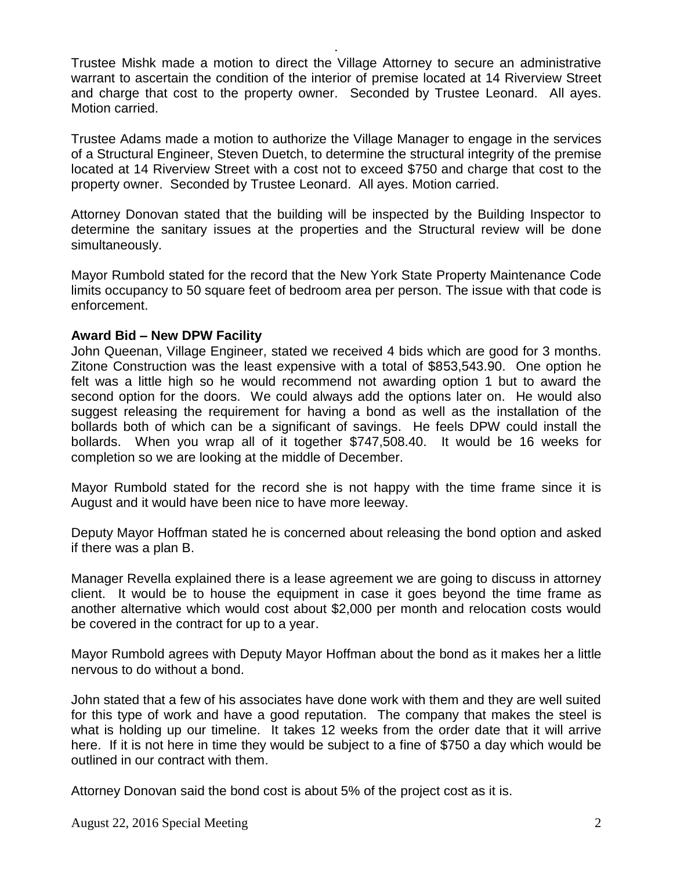Trustee Mishk made a motion to direct the Village Attorney to secure an administrative warrant to ascertain the condition of the interior of premise located at 14 Riverview Street and charge that cost to the property owner. Seconded by Trustee Leonard. All ayes. Motion carried.

.

Trustee Adams made a motion to authorize the Village Manager to engage in the services of a Structural Engineer, Steven Duetch, to determine the structural integrity of the premise located at 14 Riverview Street with a cost not to exceed \$750 and charge that cost to the property owner. Seconded by Trustee Leonard. All ayes. Motion carried.

Attorney Donovan stated that the building will be inspected by the Building Inspector to determine the sanitary issues at the properties and the Structural review will be done simultaneously.

Mayor Rumbold stated for the record that the New York State Property Maintenance Code limits occupancy to 50 square feet of bedroom area per person. The issue with that code is enforcement.

## **Award Bid – New DPW Facility**

John Queenan, Village Engineer, stated we received 4 bids which are good for 3 months. Zitone Construction was the least expensive with a total of \$853,543.90. One option he felt was a little high so he would recommend not awarding option 1 but to award the second option for the doors. We could always add the options later on. He would also suggest releasing the requirement for having a bond as well as the installation of the bollards both of which can be a significant of savings. He feels DPW could install the bollards. When you wrap all of it together \$747,508.40. It would be 16 weeks for completion so we are looking at the middle of December.

Mayor Rumbold stated for the record she is not happy with the time frame since it is August and it would have been nice to have more leeway.

Deputy Mayor Hoffman stated he is concerned about releasing the bond option and asked if there was a plan B.

Manager Revella explained there is a lease agreement we are going to discuss in attorney client. It would be to house the equipment in case it goes beyond the time frame as another alternative which would cost about \$2,000 per month and relocation costs would be covered in the contract for up to a year.

Mayor Rumbold agrees with Deputy Mayor Hoffman about the bond as it makes her a little nervous to do without a bond.

John stated that a few of his associates have done work with them and they are well suited for this type of work and have a good reputation. The company that makes the steel is what is holding up our timeline. It takes 12 weeks from the order date that it will arrive here. If it is not here in time they would be subject to a fine of \$750 a day which would be outlined in our contract with them.

Attorney Donovan said the bond cost is about 5% of the project cost as it is.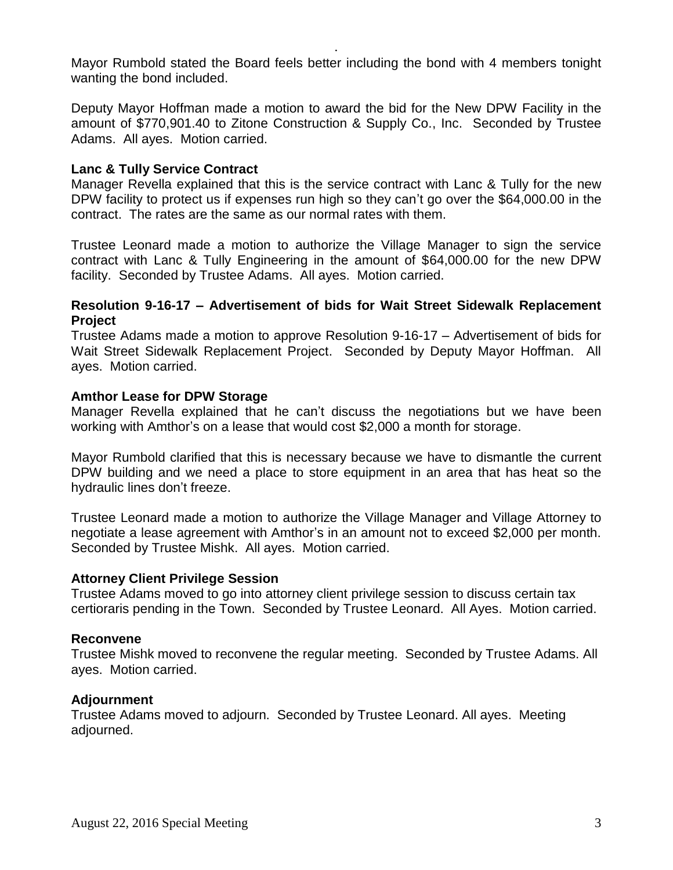Mayor Rumbold stated the Board feels better including the bond with 4 members tonight wanting the bond included.

.

Deputy Mayor Hoffman made a motion to award the bid for the New DPW Facility in the amount of \$770,901.40 to Zitone Construction & Supply Co., Inc. Seconded by Trustee Adams. All ayes. Motion carried.

# **Lanc & Tully Service Contract**

Manager Revella explained that this is the service contract with Lanc & Tully for the new DPW facility to protect us if expenses run high so they can't go over the \$64,000.00 in the contract. The rates are the same as our normal rates with them.

Trustee Leonard made a motion to authorize the Village Manager to sign the service contract with Lanc & Tully Engineering in the amount of \$64,000.00 for the new DPW facility. Seconded by Trustee Adams. All ayes. Motion carried.

### **Resolution 9-16-17 – Advertisement of bids for Wait Street Sidewalk Replacement Project**

Trustee Adams made a motion to approve Resolution 9-16-17 – Advertisement of bids for Wait Street Sidewalk Replacement Project. Seconded by Deputy Mayor Hoffman. All ayes. Motion carried.

### **Amthor Lease for DPW Storage**

Manager Revella explained that he can't discuss the negotiations but we have been working with Amthor's on a lease that would cost \$2,000 a month for storage.

Mayor Rumbold clarified that this is necessary because we have to dismantle the current DPW building and we need a place to store equipment in an area that has heat so the hydraulic lines don't freeze.

Trustee Leonard made a motion to authorize the Village Manager and Village Attorney to negotiate a lease agreement with Amthor's in an amount not to exceed \$2,000 per month. Seconded by Trustee Mishk. All ayes. Motion carried.

### **Attorney Client Privilege Session**

Trustee Adams moved to go into attorney client privilege session to discuss certain tax certioraris pending in the Town. Seconded by Trustee Leonard. All Ayes. Motion carried.

### **Reconvene**

Trustee Mishk moved to reconvene the regular meeting. Seconded by Trustee Adams. All ayes. Motion carried.

### **Adjournment**

Trustee Adams moved to adjourn. Seconded by Trustee Leonard. All ayes. Meeting adjourned.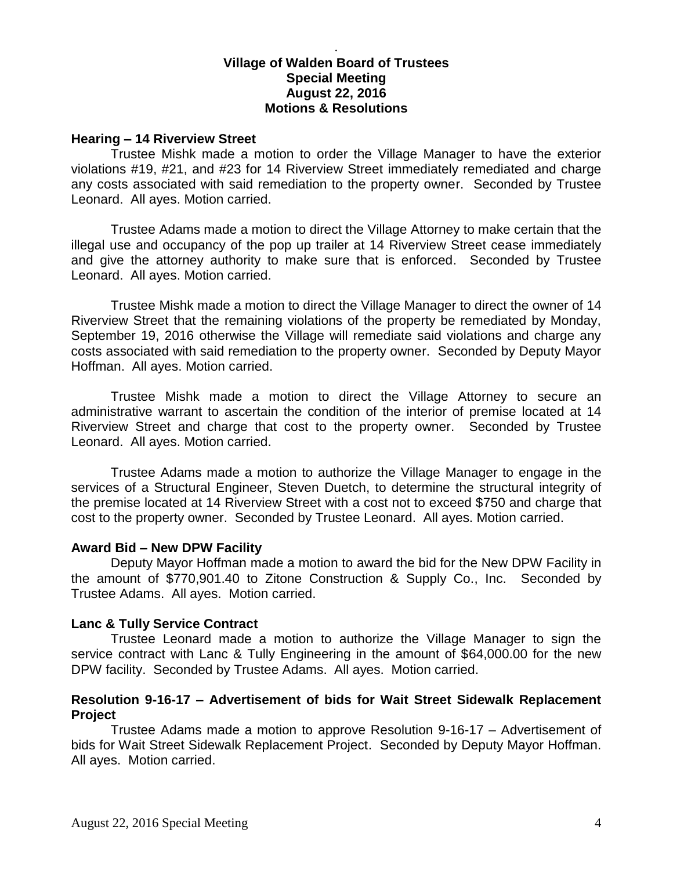# **Village of Walden Board of Trustees Special Meeting August 22, 2016 Motions & Resolutions**

.

### **Hearing – 14 Riverview Street**

Trustee Mishk made a motion to order the Village Manager to have the exterior violations #19, #21, and #23 for 14 Riverview Street immediately remediated and charge any costs associated with said remediation to the property owner. Seconded by Trustee Leonard. All ayes. Motion carried.

Trustee Adams made a motion to direct the Village Attorney to make certain that the illegal use and occupancy of the pop up trailer at 14 Riverview Street cease immediately and give the attorney authority to make sure that is enforced. Seconded by Trustee Leonard. All ayes. Motion carried.

Trustee Mishk made a motion to direct the Village Manager to direct the owner of 14 Riverview Street that the remaining violations of the property be remediated by Monday, September 19, 2016 otherwise the Village will remediate said violations and charge any costs associated with said remediation to the property owner. Seconded by Deputy Mayor Hoffman. All ayes. Motion carried.

Trustee Mishk made a motion to direct the Village Attorney to secure an administrative warrant to ascertain the condition of the interior of premise located at 14 Riverview Street and charge that cost to the property owner. Seconded by Trustee Leonard. All ayes. Motion carried.

Trustee Adams made a motion to authorize the Village Manager to engage in the services of a Structural Engineer, Steven Duetch, to determine the structural integrity of the premise located at 14 Riverview Street with a cost not to exceed \$750 and charge that cost to the property owner. Seconded by Trustee Leonard. All ayes. Motion carried.

### **Award Bid – New DPW Facility**

Deputy Mayor Hoffman made a motion to award the bid for the New DPW Facility in the amount of \$770,901.40 to Zitone Construction & Supply Co., Inc. Seconded by Trustee Adams. All ayes. Motion carried.

### **Lanc & Tully Service Contract**

Trustee Leonard made a motion to authorize the Village Manager to sign the service contract with Lanc & Tully Engineering in the amount of \$64,000.00 for the new DPW facility. Seconded by Trustee Adams. All ayes. Motion carried.

### **Resolution 9-16-17 – Advertisement of bids for Wait Street Sidewalk Replacement Project**

Trustee Adams made a motion to approve Resolution 9-16-17 – Advertisement of bids for Wait Street Sidewalk Replacement Project. Seconded by Deputy Mayor Hoffman. All ayes. Motion carried.